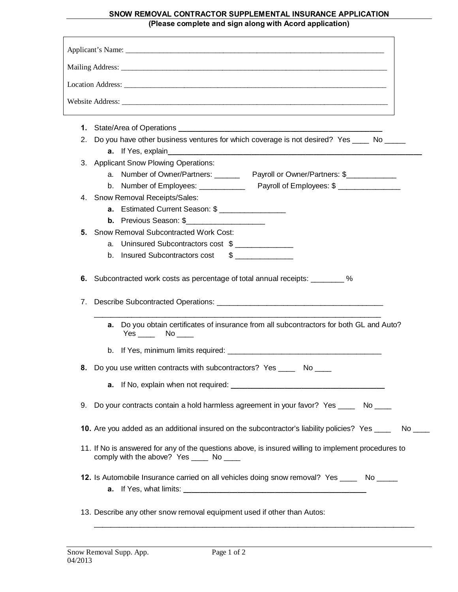## **SNOW REMOVAL CONTRACTOR SUPPLEMENTAL INSURANCE APPLICATION (Please complete and sign along with Acord application)**

|    | 2. Do you have other business ventures for which coverage is not desired? Yes _____ No _____                                                    |
|----|-------------------------------------------------------------------------------------------------------------------------------------------------|
|    | 3. Applicant Snow Plowing Operations:                                                                                                           |
|    | a. Number of Owner/Partners: _________ Payroll or Owner/Partners: \$_____________                                                               |
|    | b. Number of Employees: Payroll of Employees: \$                                                                                                |
|    | 4. Snow Removal Receipts/Sales:                                                                                                                 |
|    | <b>a.</b> Estimated Current Season: \$                                                                                                          |
|    | <b>b.</b> Previous Season: \$                                                                                                                   |
| 5. | <b>Snow Removal Subcontracted Work Cost:</b>                                                                                                    |
|    | a. Uninsured Subcontractors cost \$                                                                                                             |
|    |                                                                                                                                                 |
| 6. | b. Insured Subcontractors cost<br>$\frac{1}{2}$<br>Subcontracted work costs as percentage of total annual receipts: _________ %                 |
| 7. |                                                                                                                                                 |
|    | a. Do you obtain certificates of insurance from all subcontractors for both GL and Auto?<br>$Yes$ No _____                                      |
|    |                                                                                                                                                 |
|    | 8. Do you use written contracts with subcontractors? Yes _____ No ____                                                                          |
|    |                                                                                                                                                 |
| 9. | Do your contracts contain a hold harmless agreement in your favor? Yes ______ No ____                                                           |
|    | 10. Are you added as an additional insured on the subcontractor's liability policies? Yes ______ No ___                                         |
|    | 11. If No is answered for any of the questions above, is insured willing to implement procedures to<br>comply with the above? Yes _____ No ____ |

\_\_\_\_\_\_\_\_\_\_\_\_\_\_\_\_\_\_\_\_\_\_\_\_\_\_\_\_\_\_\_\_\_\_\_\_\_\_\_\_\_\_\_\_\_\_\_\_\_\_\_\_\_\_\_\_\_\_\_\_\_\_\_\_\_\_\_\_\_\_\_\_\_\_\_\_\_